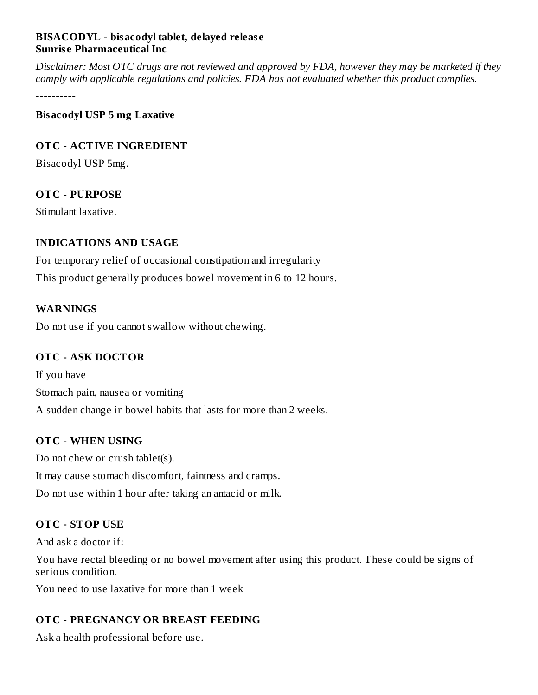### **BISACODYL - bisacodyl tablet, delayed releas e Sunris e Pharmaceutical Inc**

Disclaimer: Most OTC drugs are not reviewed and approved by FDA, however they may be marketed if they *comply with applicable regulations and policies. FDA has not evaluated whether this product complies.*

----------

#### **Bisacodyl USP 5 mg Laxative**

#### **OTC - ACTIVE INGREDIENT**

Bisacodyl USP 5mg.

### **OTC - PURPOSE**

Stimulant laxative.

### **INDICATIONS AND USAGE**

For temporary relief of occasional constipation and irregularity This product generally produces bowel movement in 6 to 12 hours.

### **WARNINGS**

Do not use if you cannot swallow without chewing.

### **OTC - ASK DOCTOR**

If you have Stomach pain, nausea or vomiting A sudden change in bowel habits that lasts for more than 2 weeks.

### **OTC - WHEN USING**

Do not chew or crush tablet(s). It may cause stomach discomfort, faintness and cramps. Do not use within 1 hour after taking an antacid or milk.

# **OTC - STOP USE**

And ask a doctor if:

You have rectal bleeding or no bowel movement after using this product. These could be signs of serious condition.

You need to use laxative for more than 1 week

### **OTC - PREGNANCY OR BREAST FEEDING**

Ask a health professional before use.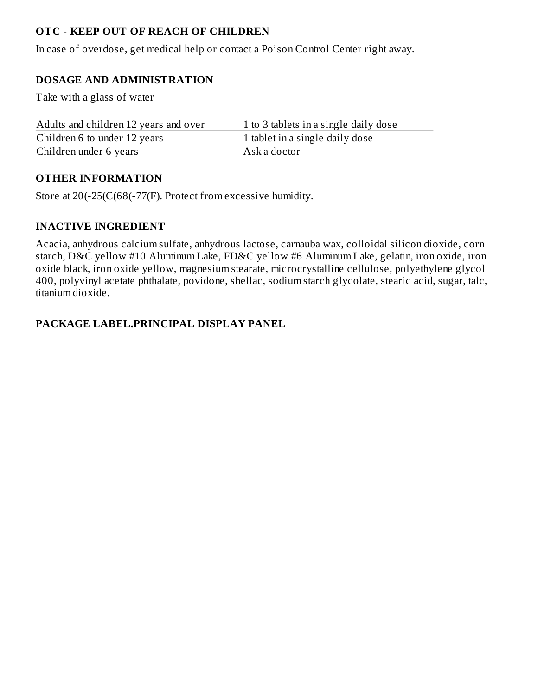# **OTC - KEEP OUT OF REACH OF CHILDREN**

In case of overdose, get medical help or contact a Poison Control Center right away.

# **DOSAGE AND ADMINISTRATION**

Take with a glass of water

| Adults and children 12 years and over | 1 to 3 tablets in a single daily dose |
|---------------------------------------|---------------------------------------|
| Children 6 to under 12 years          | 1 tablet in a single daily dose       |
| Children under 6 years                | Ask a doctor                          |

### **OTHER INFORMATION**

Store at 20(-25(C(68(-77(F). Protect from excessive humidity.

### **INACTIVE INGREDIENT**

Acacia, anhydrous calcium sulfate, anhydrous lactose, carnauba wax, colloidal silicon dioxide, corn starch, D&C yellow #10 Aluminum Lake, FD&C yellow #6 Aluminum Lake, gelatin, iron oxide, iron oxide black, iron oxide yellow, magnesium stearate, microcrystalline cellulose, polyethylene glycol 400, polyvinyl acetate phthalate, povidone, shellac, sodium starch glycolate, stearic acid, sugar, talc, titanium dioxide.

### **PACKAGE LABEL.PRINCIPAL DISPLAY PANEL**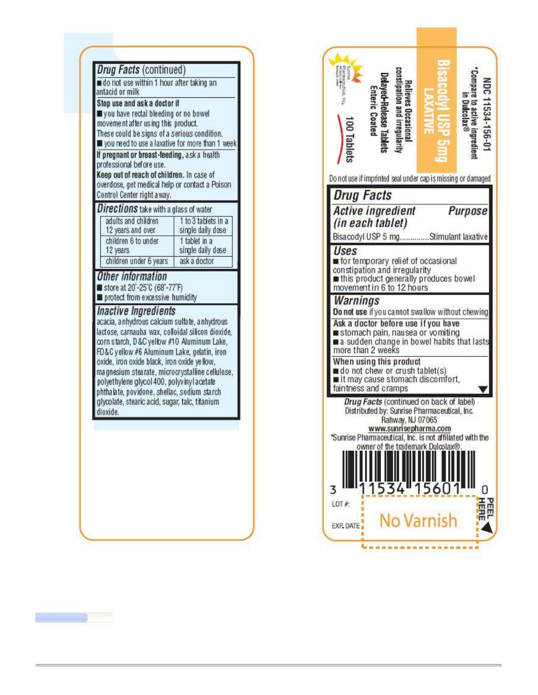| Stop use and ask a doctor if<br>you have rectal bleeding or no bowel<br>movement after using this product.<br>These could be signs of a serious condition.<br>you need to use a laxative for more than 1 week<br>If pregnant or breast-feeding, ask a health<br>professional before use.<br>Keep out of reach of children. In case of<br>overdose, get medical help or contact a Poison<br>Control Center right a way.                                                                                                                                                                       |                                          |
|----------------------------------------------------------------------------------------------------------------------------------------------------------------------------------------------------------------------------------------------------------------------------------------------------------------------------------------------------------------------------------------------------------------------------------------------------------------------------------------------------------------------------------------------------------------------------------------------|------------------------------------------|
| <b>Directions</b> take with a glass of water                                                                                                                                                                                                                                                                                                                                                                                                                                                                                                                                                 |                                          |
| adults and children<br>12 years and over                                                                                                                                                                                                                                                                                                                                                                                                                                                                                                                                                     | 1 to 3 tablets in a<br>single daily dose |
| children 6 to under                                                                                                                                                                                                                                                                                                                                                                                                                                                                                                                                                                          | 1 tablet in a                            |
| 12 years<br>children under 6 years                                                                                                                                                                                                                                                                                                                                                                                                                                                                                                                                                           | single daily dose<br>ask a doctor        |
| Other information<br>store at 20°-25°C (68°-77°F)<br>protect from excessive humidity<br><i><b>Inactive Ingredients</b></i><br>acacia, a nhydrous calcium sulfate, a nhydrous<br>lactose, carnauba wax, colloidal silicon dioxide,<br>corn starch, D&C yellow #10 Aluminum Lake,<br>FD&C yellow #6 Aluminum Lake, gelatin, iron<br>oxide, iron oxide black, iron oxide yellow,<br>ma gnesium stearate, microcrystalline cellulose,<br>polyethylene glycol 400, polyvinyl acetate<br>phthalate, povidone, shellac, sodium starch<br>glycolate, stearic acid, sugar, talc, titanium<br>dioxide. |                                          |

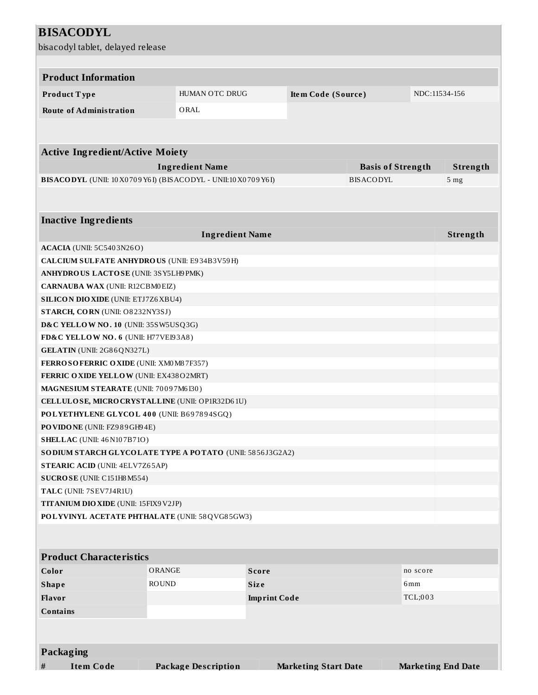| <b>BISACODYL</b>                                                                              |                            |                             |                          |                           |  |  |  |
|-----------------------------------------------------------------------------------------------|----------------------------|-----------------------------|--------------------------|---------------------------|--|--|--|
| bisacodyl tablet, delayed release                                                             |                            |                             |                          |                           |  |  |  |
|                                                                                               |                            |                             |                          |                           |  |  |  |
|                                                                                               |                            |                             |                          |                           |  |  |  |
| <b>Product Information</b>                                                                    |                            |                             |                          |                           |  |  |  |
| Product Type                                                                                  | HUMAN OTC DRUG             | Item Code (Source)          |                          | NDC:11534-156             |  |  |  |
| <b>Route of Administration</b>                                                                | ORAL                       |                             |                          |                           |  |  |  |
|                                                                                               |                            |                             |                          |                           |  |  |  |
|                                                                                               |                            |                             |                          |                           |  |  |  |
| <b>Active Ingredient/Active Moiety</b>                                                        |                            |                             |                          |                           |  |  |  |
|                                                                                               | <b>Ingredient Name</b>     |                             | <b>Basis of Strength</b> | Strength                  |  |  |  |
| BISACODYL (UNII: 10 X0 70 9 Y6 I) (BISACODYL - UNII:10 X0 70 9 Y6 I)                          |                            |                             | <b>BISACODYL</b>         | 5 <sub>mg</sub>           |  |  |  |
|                                                                                               |                            |                             |                          |                           |  |  |  |
|                                                                                               |                            |                             |                          |                           |  |  |  |
| <b>Inactive Ingredients</b>                                                                   |                            |                             |                          |                           |  |  |  |
|                                                                                               | <b>Ingredient Name</b>     |                             |                          | Strength                  |  |  |  |
| <b>ACACIA</b> (UNII: 5C5403N26O)                                                              |                            |                             |                          |                           |  |  |  |
| CALCIUM SULFATE ANHYDROUS (UNII: E934B3V59H)                                                  |                            |                             |                          |                           |  |  |  |
| ANHYDROUS LACTOSE (UNII: 3SY5LH9PMK)                                                          |                            |                             |                          |                           |  |  |  |
| CARNAUBA WAX (UNII: R12CBM0EIZ)                                                               |                            |                             |                          |                           |  |  |  |
| <b>SILICON DIO XIDE (UNII: ETJ7Z6 XBU4)</b>                                                   |                            |                             |                          |                           |  |  |  |
| STARCH, CORN (UNII: O8232NY3SJ)                                                               |                            |                             |                          |                           |  |  |  |
| D&C YELLOW NO. 10 (UNII: 35SW5USQ3G)                                                          |                            |                             |                          |                           |  |  |  |
| FD&C YELLOW NO. 6 (UNII: H77VEI93A8)                                                          |                            |                             |                          |                           |  |  |  |
| GELATIN (UNII: 2G86QN327L)                                                                    |                            |                             |                          |                           |  |  |  |
| FERROSOFERRIC OXIDE (UNII: XM0 M8 7F357)                                                      |                            |                             |                          |                           |  |  |  |
| FERRIC OXIDE YELLOW (UNII: EX438O2MRT)                                                        |                            |                             |                          |                           |  |  |  |
| MAGNESIUM STEARATE (UNII: 70097M6I30)                                                         |                            |                             |                          |                           |  |  |  |
| CELLULOSE, MICRO CRYSTALLINE (UNII: OP1R32D61U)<br>POLYETHYLENE GLYCOL 400 (UNII: B697894SGQ) |                            |                             |                          |                           |  |  |  |
| PO VIDONE (UNII: FZ989GH94E)                                                                  |                            |                             |                          |                           |  |  |  |
| <b>SHELLAC</b> (UNII: 46 N107B71O)                                                            |                            |                             |                          |                           |  |  |  |
| SODIUM STARCH GLYCOLATE TYPE A POTATO (UNII: 5856J3G2A2)                                      |                            |                             |                          |                           |  |  |  |
| <b>STEARIC ACID (UNII: 4ELV7Z65AP)</b>                                                        |                            |                             |                          |                           |  |  |  |
| SUCROSE (UNII: C151H8 M554)                                                                   |                            |                             |                          |                           |  |  |  |
| TALC (UNII: 7SEV7J4R1U)                                                                       |                            |                             |                          |                           |  |  |  |
| <b>TITANIUM DIO XIDE (UNII: 15FIX9 V2JP)</b>                                                  |                            |                             |                          |                           |  |  |  |
| POLYVINYL ACETATE PHTHALATE (UNII: 58QVG85GW3)                                                |                            |                             |                          |                           |  |  |  |
|                                                                                               |                            |                             |                          |                           |  |  |  |
| <b>Product Characteristics</b>                                                                |                            |                             |                          |                           |  |  |  |
| Color                                                                                         | <b>ORANGE</b>              | <b>Score</b>                |                          | no score                  |  |  |  |
| <b>Shape</b>                                                                                  | <b>ROUND</b>               | <b>Size</b>                 |                          | 6 <sub>mm</sub>           |  |  |  |
| Flavor                                                                                        |                            | <b>Imprint Code</b>         |                          | TCL;003                   |  |  |  |
| <b>Contains</b>                                                                               |                            |                             |                          |                           |  |  |  |
|                                                                                               |                            |                             |                          |                           |  |  |  |
| Packaging                                                                                     |                            |                             |                          |                           |  |  |  |
| <b>Item Code</b><br>$\#$                                                                      | <b>Package Description</b> | <b>Marketing Start Date</b> |                          | <b>Marketing End Date</b> |  |  |  |